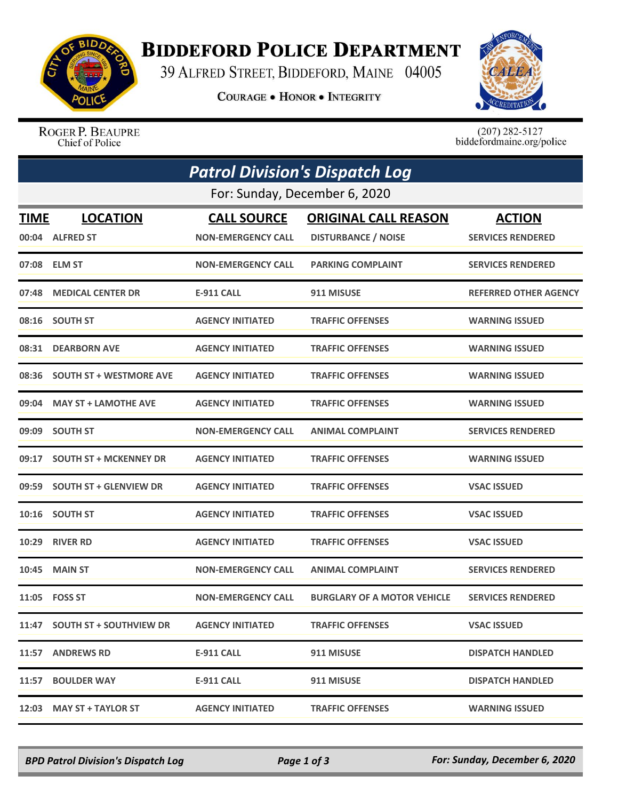

## **BIDDEFORD POLICE DEPARTMENT**

39 ALFRED STREET, BIDDEFORD, MAINE 04005

**COURAGE . HONOR . INTEGRITY** 



ROGER P. BEAUPRE Chief of Police

 $(207)$  282-5127<br>biddefordmaine.org/police

|             | <b>Patrol Division's Dispatch Log</b><br>For: Sunday, December 6, 2020 |                           |                                    |                              |  |  |  |
|-------------|------------------------------------------------------------------------|---------------------------|------------------------------------|------------------------------|--|--|--|
|             |                                                                        |                           |                                    |                              |  |  |  |
| <b>TIME</b> | <b>LOCATION</b>                                                        | <b>CALL SOURCE</b>        | <b>ORIGINAL CALL REASON</b>        | <b>ACTION</b>                |  |  |  |
|             | 00:04 ALFRED ST                                                        | <b>NON-EMERGENCY CALL</b> | <b>DISTURBANCE / NOISE</b>         | <b>SERVICES RENDERED</b>     |  |  |  |
|             | 07:08 ELM ST                                                           | <b>NON-EMERGENCY CALL</b> | <b>PARKING COMPLAINT</b>           | <b>SERVICES RENDERED</b>     |  |  |  |
| 07:48       | <b>MEDICAL CENTER DR</b>                                               | <b>E-911 CALL</b>         | 911 MISUSE                         | <b>REFERRED OTHER AGENCY</b> |  |  |  |
|             | 08:16 SOUTH ST                                                         | <b>AGENCY INITIATED</b>   | <b>TRAFFIC OFFENSES</b>            | <b>WARNING ISSUED</b>        |  |  |  |
| 08:31       | <b>DEARBORN AVE</b>                                                    | <b>AGENCY INITIATED</b>   | <b>TRAFFIC OFFENSES</b>            | <b>WARNING ISSUED</b>        |  |  |  |
| 08:36       | <b>SOUTH ST + WESTMORE AVE</b>                                         | <b>AGENCY INITIATED</b>   | <b>TRAFFIC OFFENSES</b>            | <b>WARNING ISSUED</b>        |  |  |  |
|             | 09:04 MAY ST + LAMOTHE AVE                                             | <b>AGENCY INITIATED</b>   | <b>TRAFFIC OFFENSES</b>            | <b>WARNING ISSUED</b>        |  |  |  |
| 09:09       | <b>SOUTH ST</b>                                                        | <b>NON-EMERGENCY CALL</b> | <b>ANIMAL COMPLAINT</b>            | <b>SERVICES RENDERED</b>     |  |  |  |
| 09:17       | <b>SOUTH ST + MCKENNEY DR</b>                                          | <b>AGENCY INITIATED</b>   | <b>TRAFFIC OFFENSES</b>            | <b>WARNING ISSUED</b>        |  |  |  |
| 09:59       | <b>SOUTH ST + GLENVIEW DR</b>                                          | <b>AGENCY INITIATED</b>   | <b>TRAFFIC OFFENSES</b>            | <b>VSAC ISSUED</b>           |  |  |  |
| 10:16       | <b>SOUTH ST</b>                                                        | <b>AGENCY INITIATED</b>   | <b>TRAFFIC OFFENSES</b>            | <b>VSAC ISSUED</b>           |  |  |  |
| 10:29       | <b>RIVER RD</b>                                                        | <b>AGENCY INITIATED</b>   | <b>TRAFFIC OFFENSES</b>            | <b>VSAC ISSUED</b>           |  |  |  |
| 10:45       | <b>MAIN ST</b>                                                         | <b>NON-EMERGENCY CALL</b> | <b>ANIMAL COMPLAINT</b>            | <b>SERVICES RENDERED</b>     |  |  |  |
|             | 11:05    FOSS ST                                                       | <b>NON-EMERGENCY CALL</b> | <b>BURGLARY OF A MOTOR VEHICLE</b> | <b>SERVICES RENDERED</b>     |  |  |  |
| 11:47       | <b>SOUTH ST + SOUTHVIEW DR</b>                                         | <b>AGENCY INITIATED</b>   | <b>TRAFFIC OFFENSES</b>            | <b>VSAC ISSUED</b>           |  |  |  |
|             | 11:57 ANDREWS RD                                                       | <b>E-911 CALL</b>         | 911 MISUSE                         | <b>DISPATCH HANDLED</b>      |  |  |  |
| 11:57       | <b>BOULDER WAY</b>                                                     | <b>E-911 CALL</b>         | 911 MISUSE                         | <b>DISPATCH HANDLED</b>      |  |  |  |
|             | 12:03 MAY ST + TAYLOR ST                                               | <b>AGENCY INITIATED</b>   | <b>TRAFFIC OFFENSES</b>            | <b>WARNING ISSUED</b>        |  |  |  |

*BPD Patrol Division's Dispatch Log Page 1 of 3 For: Sunday, December 6, 2020*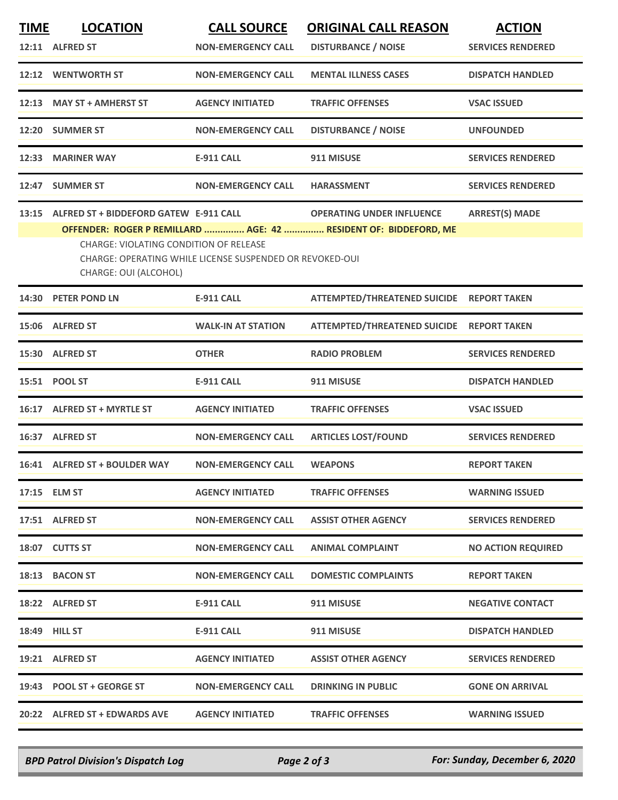| <b>TIME</b> | <b>LOCATION</b>                                                                                                                                                                                        | <b>CALL SOURCE</b>        | <b>ORIGINAL CALL REASON</b>               | <b>ACTION</b>             |  |  |
|-------------|--------------------------------------------------------------------------------------------------------------------------------------------------------------------------------------------------------|---------------------------|-------------------------------------------|---------------------------|--|--|
|             | 12:11 ALFRED ST                                                                                                                                                                                        | <b>NON-EMERGENCY CALL</b> | <b>DISTURBANCE / NOISE</b>                | <b>SERVICES RENDERED</b>  |  |  |
|             | 12:12 WENTWORTH ST                                                                                                                                                                                     | <b>NON-EMERGENCY CALL</b> | <b>MENTAL ILLNESS CASES</b>               | <b>DISPATCH HANDLED</b>   |  |  |
|             | 12:13 MAY ST + AMHERST ST                                                                                                                                                                              | <b>AGENCY INITIATED</b>   | <b>TRAFFIC OFFENSES</b>                   | <b>VSAC ISSUED</b>        |  |  |
| 12:20       | <b>SUMMER ST</b>                                                                                                                                                                                       | <b>NON-EMERGENCY CALL</b> | <b>DISTURBANCE / NOISE</b>                | <b>UNFOUNDED</b>          |  |  |
|             | 12:33 MARINER WAY                                                                                                                                                                                      | <b>E-911 CALL</b>         | 911 MISUSE                                | <b>SERVICES RENDERED</b>  |  |  |
|             | 12:47 SUMMER ST                                                                                                                                                                                        | <b>NON-EMERGENCY CALL</b> | <b>HARASSMENT</b>                         | <b>SERVICES RENDERED</b>  |  |  |
|             | 13:15 ALFRED ST + BIDDEFORD GATEW E-911 CALL                                                                                                                                                           |                           | <b>OPERATING UNDER INFLUENCE</b>          | <b>ARREST(S) MADE</b>     |  |  |
|             | OFFENDER: ROGER P REMILLARD  AGE: 42  RESIDENT OF: BIDDEFORD, ME<br><b>CHARGE: VIOLATING CONDITION OF RELEASE</b><br>CHARGE: OPERATING WHILE LICENSE SUSPENDED OR REVOKED-OUI<br>CHARGE: OUI (ALCOHOL) |                           |                                           |                           |  |  |
|             | 14:30 PETER POND LN                                                                                                                                                                                    | <b>E-911 CALL</b>         | ATTEMPTED/THREATENED SUICIDE REPORT TAKEN |                           |  |  |
|             | 15:06 ALFRED ST                                                                                                                                                                                        | <b>WALK-IN AT STATION</b> | ATTEMPTED/THREATENED SUICIDE REPORT TAKEN |                           |  |  |
|             | 15:30 ALFRED ST                                                                                                                                                                                        | <b>OTHER</b>              | <b>RADIO PROBLEM</b>                      | <b>SERVICES RENDERED</b>  |  |  |
|             | 15:51 POOL ST                                                                                                                                                                                          | <b>E-911 CALL</b>         | 911 MISUSE                                | <b>DISPATCH HANDLED</b>   |  |  |
| 16:17       | <b>ALFRED ST + MYRTLE ST</b>                                                                                                                                                                           | <b>AGENCY INITIATED</b>   | <b>TRAFFIC OFFENSES</b>                   | <b>VSAC ISSUED</b>        |  |  |
|             | 16:37 ALFRED ST                                                                                                                                                                                        | <b>NON-EMERGENCY CALL</b> | <b>ARTICLES LOST/FOUND</b>                | <b>SERVICES RENDERED</b>  |  |  |
|             | 16:41 ALFRED ST + BOULDER WAY                                                                                                                                                                          | <b>NON-EMERGENCY CALL</b> | <b>WEAPONS</b>                            | <b>REPORT TAKEN</b>       |  |  |
|             | 17:15 ELM ST                                                                                                                                                                                           | <b>AGENCY INITIATED</b>   | <b>TRAFFIC OFFENSES</b>                   | <b>WARNING ISSUED</b>     |  |  |
|             | 17:51 ALFRED ST                                                                                                                                                                                        | <b>NON-EMERGENCY CALL</b> | <b>ASSIST OTHER AGENCY</b>                | <b>SERVICES RENDERED</b>  |  |  |
|             | 18:07 CUTTS ST                                                                                                                                                                                         | <b>NON-EMERGENCY CALL</b> | <b>ANIMAL COMPLAINT</b>                   | <b>NO ACTION REQUIRED</b> |  |  |
|             | 18:13 BACON ST                                                                                                                                                                                         | <b>NON-EMERGENCY CALL</b> | <b>DOMESTIC COMPLAINTS</b>                | <b>REPORT TAKEN</b>       |  |  |
|             | 18:22 ALFRED ST                                                                                                                                                                                        | <b>E-911 CALL</b>         | 911 MISUSE                                | <b>NEGATIVE CONTACT</b>   |  |  |
|             | 18:49 HILL ST                                                                                                                                                                                          | <b>E-911 CALL</b>         | 911 MISUSE                                | <b>DISPATCH HANDLED</b>   |  |  |
|             | 19:21 ALFRED ST                                                                                                                                                                                        | <b>AGENCY INITIATED</b>   | <b>ASSIST OTHER AGENCY</b>                | <b>SERVICES RENDERED</b>  |  |  |
|             | 19:43 POOL ST + GEORGE ST                                                                                                                                                                              | <b>NON-EMERGENCY CALL</b> | <b>DRINKING IN PUBLIC</b>                 | <b>GONE ON ARRIVAL</b>    |  |  |
|             | 20:22 ALFRED ST + EDWARDS AVE                                                                                                                                                                          | <b>AGENCY INITIATED</b>   | <b>TRAFFIC OFFENSES</b>                   | <b>WARNING ISSUED</b>     |  |  |

*BPD Patrol Division's Dispatch Log Page 2 of 3 For: Sunday, December 6, 2020*